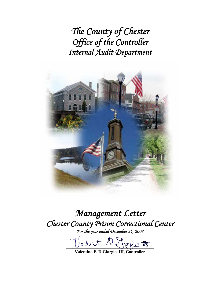*The County of Chester Office of the Controller Internal Audit Department* 



*Management Letter Chester County Prison Correctional Center For the year ended December 31, 2007* 

fiorio <del>to</del>

**Valentino F. DiGiorgio, III, Controller**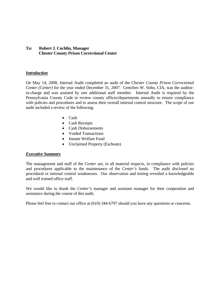# **To: Robert J. Cochlin, Manager Chester County Prison Correctional Center**

## *Introduction*

On May 14, 2008, Internal Audit completed an audit of the *Chester County Prison Correctional Center (Center)* for the year ended December 31, 2007. Gretchen W. Sohn, CIA, was the auditorin-charge and was assisted by one additional staff member. Internal Audit is required by the Pennsylvania County Code to review county offices/departments annually to ensure compliance with policies and procedures and to assess their overall internal control structure. The scope of our audit included a review of the following:

- Cash
- Cash Receipts
- Cash Disbursements
- Voided Transactions
- Inmate Welfare Fund
- Unclaimed Property (Escheats)

## *Executive Summary*

The management and staff of the *Center* are, in all material respects, in compliance with policies and procedures applicable to the maintenance of the *Center's* funds. The audit disclosed no procedural or internal control weaknesses. Our observation and testing revealed a knowledgeable and well trained office staff.

We would like to thank the *Center's* manager and assistant manager for their cooperation and assistance during the course of this audit.

Please feel free to contact our office at (610) 344-6797 should you have any questions or concerns.